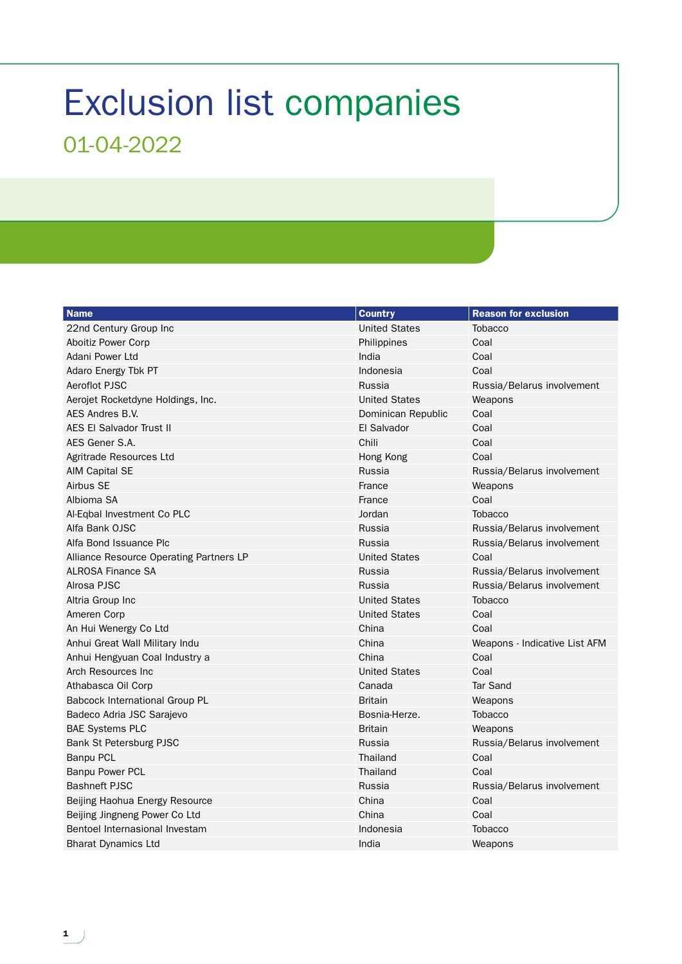## Exclusion list companies 01-04-2022

| <b>Name</b>                             | <b>Country</b>       | <b>Reason for exclusion</b>   |
|-----------------------------------------|----------------------|-------------------------------|
| 22nd Century Group Inc                  | <b>United States</b> | <b>Tobacco</b>                |
| Aboitiz Power Corp                      | Philippines          | Coal                          |
| Adani Power Ltd                         | India                | Coal                          |
| Adaro Energy Tbk PT                     | Indonesia            | Coal                          |
| Aeroflot PJSC                           | Russia               | Russia/Belarus involvement    |
| Aerojet Rocketdyne Holdings, Inc.       | <b>United States</b> | Weapons                       |
| AES Andres B.V.                         | Dominican Republic   | Coal                          |
| <b>AES EI Salvador Trust II</b>         | El Salvador          | Coal                          |
| AES Gener S.A.                          | Chili                | Coal                          |
| Agritrade Resources Ltd                 | Hong Kong            | Coal                          |
| AIM Capital SE                          | Russia               | Russia/Belarus involvement    |
| Airbus SE                               | France               | Weapons                       |
| Albioma SA                              | France               | Coal                          |
| Al-Eqbal Investment Co PLC              | Jordan               | <b>Tobacco</b>                |
| Alfa Bank OJSC                          | Russia               | Russia/Belarus involvement    |
| Alfa Bond Issuance Plc                  | Russia               | Russia/Belarus involvement    |
| Alliance Resource Operating Partners LP | <b>United States</b> | Coal                          |
| <b>ALROSA Finance SA</b>                | Russia               | Russia/Belarus involvement    |
| Alrosa PJSC                             | Russia               | Russia/Belarus involvement    |
| Altria Group Inc                        | <b>United States</b> | <b>Tobacco</b>                |
| Ameren Corp                             | <b>United States</b> | Coal                          |
| An Hui Wenergy Co Ltd                   | China                | Coal                          |
| Anhui Great Wall Military Indu          | China                | Weapons - Indicative List AFM |
| Anhui Hengyuan Coal Industry a          | China                | Coal                          |
| Arch Resources Inc                      | <b>United States</b> | Coal                          |
| Athabasca Oil Corp                      | Canada               | <b>Tar Sand</b>               |
| <b>Babcock International Group PL</b>   | <b>Britain</b>       | Weapons                       |
| Badeco Adria JSC Sarajevo               | Bosnia-Herze.        | <b>Tobacco</b>                |
| <b>BAE Systems PLC</b>                  | <b>Britain</b>       | Weapons                       |
| Bank St Petersburg PJSC                 | Russia               | Russia/Belarus involvement    |
| <b>Banpu PCL</b>                        | Thailand             | Coal                          |
| <b>Banpu Power PCL</b>                  | Thailand             | Coal                          |
| <b>Bashneft PJSC</b>                    | Russia               | Russia/Belarus involvement    |
| Beijing Haohua Energy Resource          | China                | Coal                          |
| Beijing Jingneng Power Co Ltd           | China                | Coal                          |
| Bentoel Internasional Investam          | Indonesia            | <b>Tobacco</b>                |
| <b>Bharat Dynamics Ltd</b>              | India                | Weapons                       |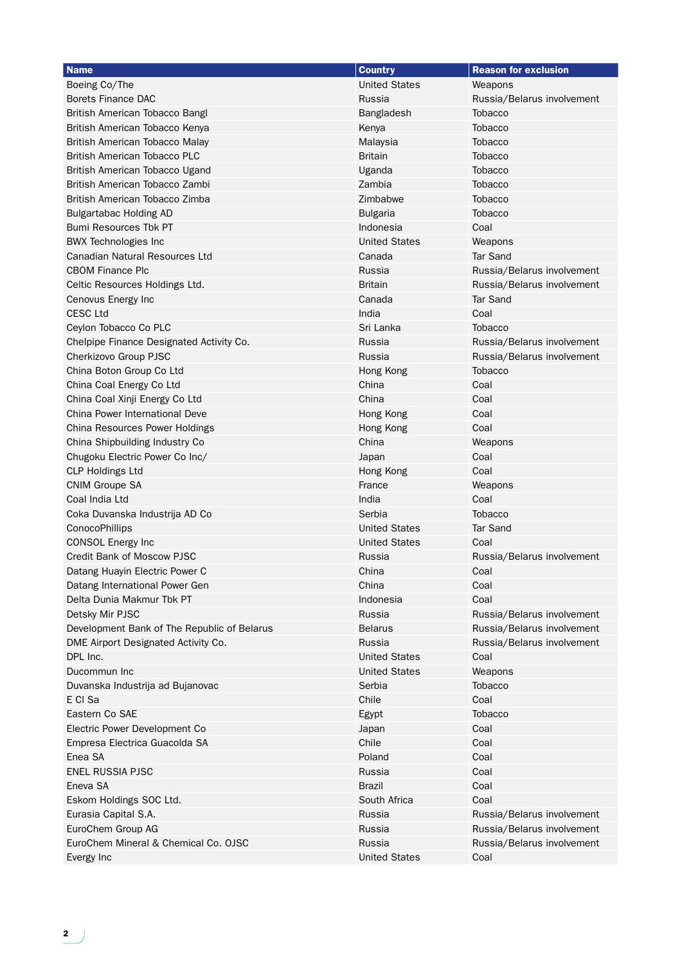| <b>Name</b>                                                    | <b>Country</b>           | <b>Reason for exclusion</b>                              |
|----------------------------------------------------------------|--------------------------|----------------------------------------------------------|
| Boeing Co/The                                                  | <b>United States</b>     | Weapons                                                  |
| <b>Borets Finance DAC</b>                                      | Russia                   | Russia/Belarus involvement                               |
| British American Tobacco Bangl                                 | Bangladesh               | <b>Tobacco</b>                                           |
| British American Tobacco Kenya                                 | Kenya                    | Tobacco                                                  |
| British American Tobacco Malay                                 | Malaysia                 | Tobacco                                                  |
| <b>British American Tobacco PLC</b>                            | <b>Britain</b>           | <b>Tobacco</b>                                           |
| British American Tobacco Ugand                                 | Uganda                   | <b>Tobacco</b>                                           |
| British American Tobacco Zambi                                 | Zambia                   | <b>Tobacco</b>                                           |
| British American Tobacco Zimba                                 | Zimbabwe                 | Tobacco                                                  |
| <b>Bulgartabac Holding AD</b>                                  | <b>Bulgaria</b>          | Tobacco                                                  |
| <b>Bumi Resources Tbk PT</b>                                   | Indonesia                | Coal                                                     |
| <b>BWX Technologies Inc.</b>                                   | <b>United States</b>     | Weapons                                                  |
| <b>Canadian Natural Resources Ltd</b>                          | Canada                   | Tar Sand                                                 |
| <b>CBOM Finance Plc</b>                                        | Russia                   | Russia/Belarus involvement                               |
| Celtic Resources Holdings Ltd.                                 | <b>Britain</b>           | Russia/Belarus involvement                               |
| Cenovus Energy Inc                                             | Canada                   | Tar Sand                                                 |
| <b>CESC Ltd</b>                                                | India                    | Coal                                                     |
| Ceylon Tobacco Co PLC                                          | Sri Lanka                | <b>Tobacco</b>                                           |
| Chelpipe Finance Designated Activity Co.                       | Russia                   | Russia/Belarus involvement                               |
| Cherkizovo Group PJSC                                          | Russia                   | Russia/Belarus involvement                               |
| China Boton Group Co Ltd                                       | Hong Kong                | <b>Tobacco</b>                                           |
| China Coal Energy Co Ltd                                       | China                    | Coal                                                     |
| China Coal Xinji Energy Co Ltd                                 | China                    | Coal                                                     |
| China Power International Deve                                 | Hong Kong                | Coal                                                     |
| China Resources Power Holdings                                 | Hong Kong                | Coal                                                     |
| China Shipbuilding Industry Co                                 | China                    | Weapons                                                  |
| Chugoku Electric Power Co Inc/                                 | Japan                    | Coal                                                     |
| <b>CLP Holdings Ltd</b>                                        | Hong Kong                | Coal                                                     |
| <b>CNIM Groupe SA</b>                                          | France                   | Weapons                                                  |
| Coal India Ltd                                                 | India                    | Coal                                                     |
| Coka Duvanska Industrija AD Co                                 | Serbia                   | <b>Tobacco</b>                                           |
| ConocoPhillips                                                 | <b>United States</b>     | <b>Tar Sand</b>                                          |
| CONSOL Energy Inc                                              | <b>United States</b>     | Coal                                                     |
| Credit Bank of Moscow PJSC                                     | Russia                   | Russia/Belarus involvement                               |
| Datang Huayin Electric Power C                                 | China                    | Coal                                                     |
| Datang International Power Gen                                 | China                    | Coal                                                     |
| Delta Dunia Makmur Tbk PT                                      | Indonesia                | Coal                                                     |
| Detsky Mir PJSC<br>Development Bank of The Republic of Belarus | Russia<br><b>Belarus</b> | Russia/Belarus involvement<br>Russia/Belarus involvement |
|                                                                | Russia                   |                                                          |
| DME Airport Designated Activity Co.<br>DPL Inc.                | <b>United States</b>     | Russia/Belarus involvement<br>Coal                       |
| Ducommun Inc                                                   | <b>United States</b>     | Weapons                                                  |
| Duvanska Industrija ad Bujanovac                               | Serbia                   | <b>Tobacco</b>                                           |
| E CI Sa                                                        | Chile                    | Coal                                                     |
| Eastern Co SAE                                                 | Egypt                    | <b>Tobacco</b>                                           |
| Electric Power Development Co                                  | Japan                    | Coal                                                     |
| Empresa Electrica Guacolda SA                                  | Chile                    | Coal                                                     |
| Enea SA                                                        | Poland                   | Coal                                                     |
| <b>ENEL RUSSIA PJSC</b>                                        | Russia                   | Coal                                                     |
| Eneva SA                                                       | Brazil                   | Coal                                                     |
| Eskom Holdings SOC Ltd.                                        | South Africa             | Coal                                                     |
| Eurasia Capital S.A.                                           | Russia                   | Russia/Belarus involvement                               |
| EuroChem Group AG                                              | Russia                   | Russia/Belarus involvement                               |
| EuroChem Mineral & Chemical Co. OJSC                           | Russia                   | Russia/Belarus involvement                               |
| Evergy Inc                                                     | <b>United States</b>     | Coal                                                     |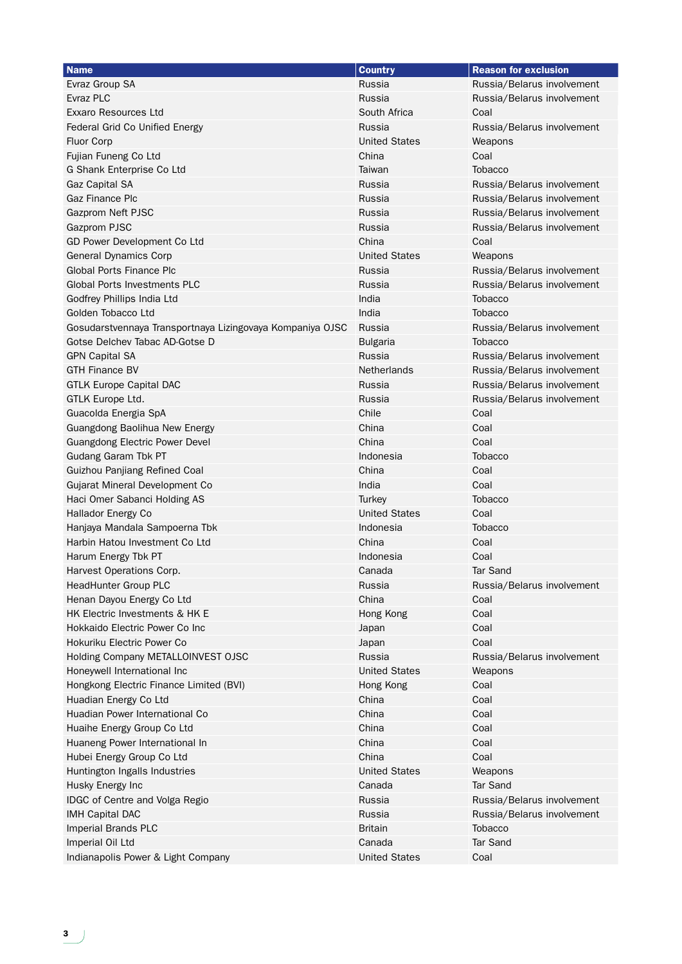| Evraz Group SA<br>Russia<br>Russia/Belarus involvement<br>Evraz PLC<br>Russia<br>Russia/Belarus involvement<br><b>Exxaro Resources Ltd</b><br>South Africa<br>Coal<br>Federal Grid Co Unified Energy<br>Russia<br>Russia/Belarus involvement<br><b>United States</b><br><b>Fluor Corp</b><br>Weapons<br>Coal<br>Fujian Funeng Co Ltd<br>China<br>G Shank Enterprise Co Ltd<br>Taiwan<br><b>Tobacco</b><br><b>Gaz Capital SA</b><br>Russia<br>Russia/Belarus involvement<br>Gaz Finance Plc<br>Russia<br>Russia/Belarus involvement<br>Gazprom Neft PJSC<br>Russia<br>Russia/Belarus involvement<br>Russia<br>Gazprom PJSC<br>Russia/Belarus involvement<br>GD Power Development Co Ltd<br>China<br>Coal<br><b>General Dynamics Corp</b><br><b>United States</b><br>Weapons<br><b>Global Ports Finance Plc</b><br>Russia<br>Russia/Belarus involvement<br><b>Global Ports Investments PLC</b><br>Russia<br>Russia/Belarus involvement<br>India<br><b>Tobacco</b><br>Godfrey Phillips India Ltd<br>Golden Tobacco Ltd<br>India<br>Tobacco<br>Gosudarstvennaya Transportnaya Lizingovaya Kompaniya OJSC<br>Russia<br>Russia/Belarus involvement<br>Gotse Delchev Tabac AD-Gotse D<br><b>Bulgaria</b><br><b>Tobacco</b><br>Russia<br><b>GPN Capital SA</b><br>Russia/Belarus involvement<br><b>GTH Finance BV</b><br>Netherlands<br>Russia/Belarus involvement<br><b>GTLK Europe Capital DAC</b><br>Russia<br>Russia/Belarus involvement<br>Russia<br>GTLK Europe Ltd.<br>Russia/Belarus involvement<br>Guacolda Energia SpA<br>Chile<br>Coal<br>China<br>Coal<br>Guangdong Baolihua New Energy<br>China<br>Coal<br><b>Guangdong Electric Power Devel</b><br>Indonesia<br>Tobacco<br>Gudang Garam Tbk PT<br>China<br>Coal<br>Guizhou Panjiang Refined Coal<br>India<br>Coal<br>Gujarat Mineral Development Co<br>Haci Omer Sabanci Holding AS<br>Turkey<br><b>Tobacco</b><br><b>United States</b><br>Coal<br>Hallador Energy Co<br>Indonesia<br>Hanjaya Mandala Sampoerna Tbk<br><b>Tobacco</b><br>Harbin Hatou Investment Co Ltd<br>China<br>Coal<br>Indonesia<br>Coal<br>Harum Energy Tbk PT<br><b>Tar Sand</b><br>Harvest Operations Corp.<br>Canada<br><b>HeadHunter Group PLC</b><br>Russia<br>Russia/Belarus involvement<br>Henan Dayou Energy Co Ltd<br>China<br>Coal<br>HK Electric Investments & HK E<br>Coal<br>Hong Kong<br>Hokkaido Electric Power Co Inc<br>Coal<br>Japan<br>Coal<br>Hokuriku Electric Power Co<br>Japan<br>Holding Company METALLOINVEST OJSC<br>Russia<br>Russia/Belarus involvement<br>Honeywell International Inc<br><b>United States</b><br>Weapons | <b>Name</b>                        | <b>Country</b>       | <b>Reason for exclusion</b> |
|-----------------------------------------------------------------------------------------------------------------------------------------------------------------------------------------------------------------------------------------------------------------------------------------------------------------------------------------------------------------------------------------------------------------------------------------------------------------------------------------------------------------------------------------------------------------------------------------------------------------------------------------------------------------------------------------------------------------------------------------------------------------------------------------------------------------------------------------------------------------------------------------------------------------------------------------------------------------------------------------------------------------------------------------------------------------------------------------------------------------------------------------------------------------------------------------------------------------------------------------------------------------------------------------------------------------------------------------------------------------------------------------------------------------------------------------------------------------------------------------------------------------------------------------------------------------------------------------------------------------------------------------------------------------------------------------------------------------------------------------------------------------------------------------------------------------------------------------------------------------------------------------------------------------------------------------------------------------------------------------------------------------------------------------------------------------------------------------------------------------------------------------------------------------------------------------------------------------------------------------------------------------------------------------------------------------------------------------------------------------------------------------------------------------------------------------------------------------------------------------------------------------------------------------------------------------------------------|------------------------------------|----------------------|-----------------------------|
|                                                                                                                                                                                                                                                                                                                                                                                                                                                                                                                                                                                                                                                                                                                                                                                                                                                                                                                                                                                                                                                                                                                                                                                                                                                                                                                                                                                                                                                                                                                                                                                                                                                                                                                                                                                                                                                                                                                                                                                                                                                                                                                                                                                                                                                                                                                                                                                                                                                                                                                                                                                   |                                    |                      |                             |
|                                                                                                                                                                                                                                                                                                                                                                                                                                                                                                                                                                                                                                                                                                                                                                                                                                                                                                                                                                                                                                                                                                                                                                                                                                                                                                                                                                                                                                                                                                                                                                                                                                                                                                                                                                                                                                                                                                                                                                                                                                                                                                                                                                                                                                                                                                                                                                                                                                                                                                                                                                                   |                                    |                      |                             |
|                                                                                                                                                                                                                                                                                                                                                                                                                                                                                                                                                                                                                                                                                                                                                                                                                                                                                                                                                                                                                                                                                                                                                                                                                                                                                                                                                                                                                                                                                                                                                                                                                                                                                                                                                                                                                                                                                                                                                                                                                                                                                                                                                                                                                                                                                                                                                                                                                                                                                                                                                                                   |                                    |                      |                             |
|                                                                                                                                                                                                                                                                                                                                                                                                                                                                                                                                                                                                                                                                                                                                                                                                                                                                                                                                                                                                                                                                                                                                                                                                                                                                                                                                                                                                                                                                                                                                                                                                                                                                                                                                                                                                                                                                                                                                                                                                                                                                                                                                                                                                                                                                                                                                                                                                                                                                                                                                                                                   |                                    |                      |                             |
|                                                                                                                                                                                                                                                                                                                                                                                                                                                                                                                                                                                                                                                                                                                                                                                                                                                                                                                                                                                                                                                                                                                                                                                                                                                                                                                                                                                                                                                                                                                                                                                                                                                                                                                                                                                                                                                                                                                                                                                                                                                                                                                                                                                                                                                                                                                                                                                                                                                                                                                                                                                   |                                    |                      |                             |
|                                                                                                                                                                                                                                                                                                                                                                                                                                                                                                                                                                                                                                                                                                                                                                                                                                                                                                                                                                                                                                                                                                                                                                                                                                                                                                                                                                                                                                                                                                                                                                                                                                                                                                                                                                                                                                                                                                                                                                                                                                                                                                                                                                                                                                                                                                                                                                                                                                                                                                                                                                                   |                                    |                      |                             |
|                                                                                                                                                                                                                                                                                                                                                                                                                                                                                                                                                                                                                                                                                                                                                                                                                                                                                                                                                                                                                                                                                                                                                                                                                                                                                                                                                                                                                                                                                                                                                                                                                                                                                                                                                                                                                                                                                                                                                                                                                                                                                                                                                                                                                                                                                                                                                                                                                                                                                                                                                                                   |                                    |                      |                             |
|                                                                                                                                                                                                                                                                                                                                                                                                                                                                                                                                                                                                                                                                                                                                                                                                                                                                                                                                                                                                                                                                                                                                                                                                                                                                                                                                                                                                                                                                                                                                                                                                                                                                                                                                                                                                                                                                                                                                                                                                                                                                                                                                                                                                                                                                                                                                                                                                                                                                                                                                                                                   |                                    |                      |                             |
|                                                                                                                                                                                                                                                                                                                                                                                                                                                                                                                                                                                                                                                                                                                                                                                                                                                                                                                                                                                                                                                                                                                                                                                                                                                                                                                                                                                                                                                                                                                                                                                                                                                                                                                                                                                                                                                                                                                                                                                                                                                                                                                                                                                                                                                                                                                                                                                                                                                                                                                                                                                   |                                    |                      |                             |
|                                                                                                                                                                                                                                                                                                                                                                                                                                                                                                                                                                                                                                                                                                                                                                                                                                                                                                                                                                                                                                                                                                                                                                                                                                                                                                                                                                                                                                                                                                                                                                                                                                                                                                                                                                                                                                                                                                                                                                                                                                                                                                                                                                                                                                                                                                                                                                                                                                                                                                                                                                                   |                                    |                      |                             |
|                                                                                                                                                                                                                                                                                                                                                                                                                                                                                                                                                                                                                                                                                                                                                                                                                                                                                                                                                                                                                                                                                                                                                                                                                                                                                                                                                                                                                                                                                                                                                                                                                                                                                                                                                                                                                                                                                                                                                                                                                                                                                                                                                                                                                                                                                                                                                                                                                                                                                                                                                                                   |                                    |                      |                             |
|                                                                                                                                                                                                                                                                                                                                                                                                                                                                                                                                                                                                                                                                                                                                                                                                                                                                                                                                                                                                                                                                                                                                                                                                                                                                                                                                                                                                                                                                                                                                                                                                                                                                                                                                                                                                                                                                                                                                                                                                                                                                                                                                                                                                                                                                                                                                                                                                                                                                                                                                                                                   |                                    |                      |                             |
|                                                                                                                                                                                                                                                                                                                                                                                                                                                                                                                                                                                                                                                                                                                                                                                                                                                                                                                                                                                                                                                                                                                                                                                                                                                                                                                                                                                                                                                                                                                                                                                                                                                                                                                                                                                                                                                                                                                                                                                                                                                                                                                                                                                                                                                                                                                                                                                                                                                                                                                                                                                   |                                    |                      |                             |
|                                                                                                                                                                                                                                                                                                                                                                                                                                                                                                                                                                                                                                                                                                                                                                                                                                                                                                                                                                                                                                                                                                                                                                                                                                                                                                                                                                                                                                                                                                                                                                                                                                                                                                                                                                                                                                                                                                                                                                                                                                                                                                                                                                                                                                                                                                                                                                                                                                                                                                                                                                                   |                                    |                      |                             |
|                                                                                                                                                                                                                                                                                                                                                                                                                                                                                                                                                                                                                                                                                                                                                                                                                                                                                                                                                                                                                                                                                                                                                                                                                                                                                                                                                                                                                                                                                                                                                                                                                                                                                                                                                                                                                                                                                                                                                                                                                                                                                                                                                                                                                                                                                                                                                                                                                                                                                                                                                                                   |                                    |                      |                             |
|                                                                                                                                                                                                                                                                                                                                                                                                                                                                                                                                                                                                                                                                                                                                                                                                                                                                                                                                                                                                                                                                                                                                                                                                                                                                                                                                                                                                                                                                                                                                                                                                                                                                                                                                                                                                                                                                                                                                                                                                                                                                                                                                                                                                                                                                                                                                                                                                                                                                                                                                                                                   |                                    |                      |                             |
|                                                                                                                                                                                                                                                                                                                                                                                                                                                                                                                                                                                                                                                                                                                                                                                                                                                                                                                                                                                                                                                                                                                                                                                                                                                                                                                                                                                                                                                                                                                                                                                                                                                                                                                                                                                                                                                                                                                                                                                                                                                                                                                                                                                                                                                                                                                                                                                                                                                                                                                                                                                   |                                    |                      |                             |
|                                                                                                                                                                                                                                                                                                                                                                                                                                                                                                                                                                                                                                                                                                                                                                                                                                                                                                                                                                                                                                                                                                                                                                                                                                                                                                                                                                                                                                                                                                                                                                                                                                                                                                                                                                                                                                                                                                                                                                                                                                                                                                                                                                                                                                                                                                                                                                                                                                                                                                                                                                                   |                                    |                      |                             |
|                                                                                                                                                                                                                                                                                                                                                                                                                                                                                                                                                                                                                                                                                                                                                                                                                                                                                                                                                                                                                                                                                                                                                                                                                                                                                                                                                                                                                                                                                                                                                                                                                                                                                                                                                                                                                                                                                                                                                                                                                                                                                                                                                                                                                                                                                                                                                                                                                                                                                                                                                                                   |                                    |                      |                             |
|                                                                                                                                                                                                                                                                                                                                                                                                                                                                                                                                                                                                                                                                                                                                                                                                                                                                                                                                                                                                                                                                                                                                                                                                                                                                                                                                                                                                                                                                                                                                                                                                                                                                                                                                                                                                                                                                                                                                                                                                                                                                                                                                                                                                                                                                                                                                                                                                                                                                                                                                                                                   |                                    |                      |                             |
|                                                                                                                                                                                                                                                                                                                                                                                                                                                                                                                                                                                                                                                                                                                                                                                                                                                                                                                                                                                                                                                                                                                                                                                                                                                                                                                                                                                                                                                                                                                                                                                                                                                                                                                                                                                                                                                                                                                                                                                                                                                                                                                                                                                                                                                                                                                                                                                                                                                                                                                                                                                   |                                    |                      |                             |
|                                                                                                                                                                                                                                                                                                                                                                                                                                                                                                                                                                                                                                                                                                                                                                                                                                                                                                                                                                                                                                                                                                                                                                                                                                                                                                                                                                                                                                                                                                                                                                                                                                                                                                                                                                                                                                                                                                                                                                                                                                                                                                                                                                                                                                                                                                                                                                                                                                                                                                                                                                                   |                                    |                      |                             |
|                                                                                                                                                                                                                                                                                                                                                                                                                                                                                                                                                                                                                                                                                                                                                                                                                                                                                                                                                                                                                                                                                                                                                                                                                                                                                                                                                                                                                                                                                                                                                                                                                                                                                                                                                                                                                                                                                                                                                                                                                                                                                                                                                                                                                                                                                                                                                                                                                                                                                                                                                                                   |                                    |                      |                             |
|                                                                                                                                                                                                                                                                                                                                                                                                                                                                                                                                                                                                                                                                                                                                                                                                                                                                                                                                                                                                                                                                                                                                                                                                                                                                                                                                                                                                                                                                                                                                                                                                                                                                                                                                                                                                                                                                                                                                                                                                                                                                                                                                                                                                                                                                                                                                                                                                                                                                                                                                                                                   |                                    |                      |                             |
|                                                                                                                                                                                                                                                                                                                                                                                                                                                                                                                                                                                                                                                                                                                                                                                                                                                                                                                                                                                                                                                                                                                                                                                                                                                                                                                                                                                                                                                                                                                                                                                                                                                                                                                                                                                                                                                                                                                                                                                                                                                                                                                                                                                                                                                                                                                                                                                                                                                                                                                                                                                   |                                    |                      |                             |
|                                                                                                                                                                                                                                                                                                                                                                                                                                                                                                                                                                                                                                                                                                                                                                                                                                                                                                                                                                                                                                                                                                                                                                                                                                                                                                                                                                                                                                                                                                                                                                                                                                                                                                                                                                                                                                                                                                                                                                                                                                                                                                                                                                                                                                                                                                                                                                                                                                                                                                                                                                                   |                                    |                      |                             |
|                                                                                                                                                                                                                                                                                                                                                                                                                                                                                                                                                                                                                                                                                                                                                                                                                                                                                                                                                                                                                                                                                                                                                                                                                                                                                                                                                                                                                                                                                                                                                                                                                                                                                                                                                                                                                                                                                                                                                                                                                                                                                                                                                                                                                                                                                                                                                                                                                                                                                                                                                                                   |                                    |                      |                             |
|                                                                                                                                                                                                                                                                                                                                                                                                                                                                                                                                                                                                                                                                                                                                                                                                                                                                                                                                                                                                                                                                                                                                                                                                                                                                                                                                                                                                                                                                                                                                                                                                                                                                                                                                                                                                                                                                                                                                                                                                                                                                                                                                                                                                                                                                                                                                                                                                                                                                                                                                                                                   |                                    |                      |                             |
|                                                                                                                                                                                                                                                                                                                                                                                                                                                                                                                                                                                                                                                                                                                                                                                                                                                                                                                                                                                                                                                                                                                                                                                                                                                                                                                                                                                                                                                                                                                                                                                                                                                                                                                                                                                                                                                                                                                                                                                                                                                                                                                                                                                                                                                                                                                                                                                                                                                                                                                                                                                   |                                    |                      |                             |
|                                                                                                                                                                                                                                                                                                                                                                                                                                                                                                                                                                                                                                                                                                                                                                                                                                                                                                                                                                                                                                                                                                                                                                                                                                                                                                                                                                                                                                                                                                                                                                                                                                                                                                                                                                                                                                                                                                                                                                                                                                                                                                                                                                                                                                                                                                                                                                                                                                                                                                                                                                                   |                                    |                      |                             |
|                                                                                                                                                                                                                                                                                                                                                                                                                                                                                                                                                                                                                                                                                                                                                                                                                                                                                                                                                                                                                                                                                                                                                                                                                                                                                                                                                                                                                                                                                                                                                                                                                                                                                                                                                                                                                                                                                                                                                                                                                                                                                                                                                                                                                                                                                                                                                                                                                                                                                                                                                                                   |                                    |                      |                             |
|                                                                                                                                                                                                                                                                                                                                                                                                                                                                                                                                                                                                                                                                                                                                                                                                                                                                                                                                                                                                                                                                                                                                                                                                                                                                                                                                                                                                                                                                                                                                                                                                                                                                                                                                                                                                                                                                                                                                                                                                                                                                                                                                                                                                                                                                                                                                                                                                                                                                                                                                                                                   |                                    |                      |                             |
|                                                                                                                                                                                                                                                                                                                                                                                                                                                                                                                                                                                                                                                                                                                                                                                                                                                                                                                                                                                                                                                                                                                                                                                                                                                                                                                                                                                                                                                                                                                                                                                                                                                                                                                                                                                                                                                                                                                                                                                                                                                                                                                                                                                                                                                                                                                                                                                                                                                                                                                                                                                   |                                    |                      |                             |
|                                                                                                                                                                                                                                                                                                                                                                                                                                                                                                                                                                                                                                                                                                                                                                                                                                                                                                                                                                                                                                                                                                                                                                                                                                                                                                                                                                                                                                                                                                                                                                                                                                                                                                                                                                                                                                                                                                                                                                                                                                                                                                                                                                                                                                                                                                                                                                                                                                                                                                                                                                                   |                                    |                      |                             |
|                                                                                                                                                                                                                                                                                                                                                                                                                                                                                                                                                                                                                                                                                                                                                                                                                                                                                                                                                                                                                                                                                                                                                                                                                                                                                                                                                                                                                                                                                                                                                                                                                                                                                                                                                                                                                                                                                                                                                                                                                                                                                                                                                                                                                                                                                                                                                                                                                                                                                                                                                                                   |                                    |                      |                             |
|                                                                                                                                                                                                                                                                                                                                                                                                                                                                                                                                                                                                                                                                                                                                                                                                                                                                                                                                                                                                                                                                                                                                                                                                                                                                                                                                                                                                                                                                                                                                                                                                                                                                                                                                                                                                                                                                                                                                                                                                                                                                                                                                                                                                                                                                                                                                                                                                                                                                                                                                                                                   |                                    |                      |                             |
|                                                                                                                                                                                                                                                                                                                                                                                                                                                                                                                                                                                                                                                                                                                                                                                                                                                                                                                                                                                                                                                                                                                                                                                                                                                                                                                                                                                                                                                                                                                                                                                                                                                                                                                                                                                                                                                                                                                                                                                                                                                                                                                                                                                                                                                                                                                                                                                                                                                                                                                                                                                   |                                    |                      |                             |
|                                                                                                                                                                                                                                                                                                                                                                                                                                                                                                                                                                                                                                                                                                                                                                                                                                                                                                                                                                                                                                                                                                                                                                                                                                                                                                                                                                                                                                                                                                                                                                                                                                                                                                                                                                                                                                                                                                                                                                                                                                                                                                                                                                                                                                                                                                                                                                                                                                                                                                                                                                                   |                                    |                      |                             |
|                                                                                                                                                                                                                                                                                                                                                                                                                                                                                                                                                                                                                                                                                                                                                                                                                                                                                                                                                                                                                                                                                                                                                                                                                                                                                                                                                                                                                                                                                                                                                                                                                                                                                                                                                                                                                                                                                                                                                                                                                                                                                                                                                                                                                                                                                                                                                                                                                                                                                                                                                                                   |                                    |                      |                             |
|                                                                                                                                                                                                                                                                                                                                                                                                                                                                                                                                                                                                                                                                                                                                                                                                                                                                                                                                                                                                                                                                                                                                                                                                                                                                                                                                                                                                                                                                                                                                                                                                                                                                                                                                                                                                                                                                                                                                                                                                                                                                                                                                                                                                                                                                                                                                                                                                                                                                                                                                                                                   |                                    |                      |                             |
|                                                                                                                                                                                                                                                                                                                                                                                                                                                                                                                                                                                                                                                                                                                                                                                                                                                                                                                                                                                                                                                                                                                                                                                                                                                                                                                                                                                                                                                                                                                                                                                                                                                                                                                                                                                                                                                                                                                                                                                                                                                                                                                                                                                                                                                                                                                                                                                                                                                                                                                                                                                   |                                    |                      |                             |
|                                                                                                                                                                                                                                                                                                                                                                                                                                                                                                                                                                                                                                                                                                                                                                                                                                                                                                                                                                                                                                                                                                                                                                                                                                                                                                                                                                                                                                                                                                                                                                                                                                                                                                                                                                                                                                                                                                                                                                                                                                                                                                                                                                                                                                                                                                                                                                                                                                                                                                                                                                                   |                                    |                      |                             |
| Coal<br>Hongkong Electric Finance Limited (BVI)<br>Hong Kong                                                                                                                                                                                                                                                                                                                                                                                                                                                                                                                                                                                                                                                                                                                                                                                                                                                                                                                                                                                                                                                                                                                                                                                                                                                                                                                                                                                                                                                                                                                                                                                                                                                                                                                                                                                                                                                                                                                                                                                                                                                                                                                                                                                                                                                                                                                                                                                                                                                                                                                      |                                    |                      |                             |
| Coal<br>Huadian Energy Co Ltd<br>China                                                                                                                                                                                                                                                                                                                                                                                                                                                                                                                                                                                                                                                                                                                                                                                                                                                                                                                                                                                                                                                                                                                                                                                                                                                                                                                                                                                                                                                                                                                                                                                                                                                                                                                                                                                                                                                                                                                                                                                                                                                                                                                                                                                                                                                                                                                                                                                                                                                                                                                                            |                                    |                      |                             |
| Huadian Power International Co<br>China<br>Coal                                                                                                                                                                                                                                                                                                                                                                                                                                                                                                                                                                                                                                                                                                                                                                                                                                                                                                                                                                                                                                                                                                                                                                                                                                                                                                                                                                                                                                                                                                                                                                                                                                                                                                                                                                                                                                                                                                                                                                                                                                                                                                                                                                                                                                                                                                                                                                                                                                                                                                                                   |                                    |                      |                             |
| China<br>Huaihe Energy Group Co Ltd<br>Coal                                                                                                                                                                                                                                                                                                                                                                                                                                                                                                                                                                                                                                                                                                                                                                                                                                                                                                                                                                                                                                                                                                                                                                                                                                                                                                                                                                                                                                                                                                                                                                                                                                                                                                                                                                                                                                                                                                                                                                                                                                                                                                                                                                                                                                                                                                                                                                                                                                                                                                                                       |                                    |                      |                             |
| China<br>Huaneng Power International In<br>Coal                                                                                                                                                                                                                                                                                                                                                                                                                                                                                                                                                                                                                                                                                                                                                                                                                                                                                                                                                                                                                                                                                                                                                                                                                                                                                                                                                                                                                                                                                                                                                                                                                                                                                                                                                                                                                                                                                                                                                                                                                                                                                                                                                                                                                                                                                                                                                                                                                                                                                                                                   |                                    |                      |                             |
| Hubei Energy Group Co Ltd<br>China<br>Coal                                                                                                                                                                                                                                                                                                                                                                                                                                                                                                                                                                                                                                                                                                                                                                                                                                                                                                                                                                                                                                                                                                                                                                                                                                                                                                                                                                                                                                                                                                                                                                                                                                                                                                                                                                                                                                                                                                                                                                                                                                                                                                                                                                                                                                                                                                                                                                                                                                                                                                                                        |                                    |                      |                             |
| <b>United States</b><br>Huntington Ingalls Industries<br>Weapons                                                                                                                                                                                                                                                                                                                                                                                                                                                                                                                                                                                                                                                                                                                                                                                                                                                                                                                                                                                                                                                                                                                                                                                                                                                                                                                                                                                                                                                                                                                                                                                                                                                                                                                                                                                                                                                                                                                                                                                                                                                                                                                                                                                                                                                                                                                                                                                                                                                                                                                  |                                    |                      |                             |
| Canada<br><b>Tar Sand</b><br>Husky Energy Inc                                                                                                                                                                                                                                                                                                                                                                                                                                                                                                                                                                                                                                                                                                                                                                                                                                                                                                                                                                                                                                                                                                                                                                                                                                                                                                                                                                                                                                                                                                                                                                                                                                                                                                                                                                                                                                                                                                                                                                                                                                                                                                                                                                                                                                                                                                                                                                                                                                                                                                                                     |                                    |                      |                             |
| IDGC of Centre and Volga Regio<br>Russia<br>Russia/Belarus involvement                                                                                                                                                                                                                                                                                                                                                                                                                                                                                                                                                                                                                                                                                                                                                                                                                                                                                                                                                                                                                                                                                                                                                                                                                                                                                                                                                                                                                                                                                                                                                                                                                                                                                                                                                                                                                                                                                                                                                                                                                                                                                                                                                                                                                                                                                                                                                                                                                                                                                                            |                                    |                      |                             |
| <b>IMH Capital DAC</b><br>Russia<br>Russia/Belarus involvement                                                                                                                                                                                                                                                                                                                                                                                                                                                                                                                                                                                                                                                                                                                                                                                                                                                                                                                                                                                                                                                                                                                                                                                                                                                                                                                                                                                                                                                                                                                                                                                                                                                                                                                                                                                                                                                                                                                                                                                                                                                                                                                                                                                                                                                                                                                                                                                                                                                                                                                    |                                    |                      |                             |
| Imperial Brands PLC<br>Tobacco<br>Britain                                                                                                                                                                                                                                                                                                                                                                                                                                                                                                                                                                                                                                                                                                                                                                                                                                                                                                                                                                                                                                                                                                                                                                                                                                                                                                                                                                                                                                                                                                                                                                                                                                                                                                                                                                                                                                                                                                                                                                                                                                                                                                                                                                                                                                                                                                                                                                                                                                                                                                                                         |                                    |                      |                             |
| Imperial Oil Ltd<br>Canada<br><b>Tar Sand</b>                                                                                                                                                                                                                                                                                                                                                                                                                                                                                                                                                                                                                                                                                                                                                                                                                                                                                                                                                                                                                                                                                                                                                                                                                                                                                                                                                                                                                                                                                                                                                                                                                                                                                                                                                                                                                                                                                                                                                                                                                                                                                                                                                                                                                                                                                                                                                                                                                                                                                                                                     |                                    |                      |                             |
|                                                                                                                                                                                                                                                                                                                                                                                                                                                                                                                                                                                                                                                                                                                                                                                                                                                                                                                                                                                                                                                                                                                                                                                                                                                                                                                                                                                                                                                                                                                                                                                                                                                                                                                                                                                                                                                                                                                                                                                                                                                                                                                                                                                                                                                                                                                                                                                                                                                                                                                                                                                   | Indianapolis Power & Light Company | <b>United States</b> | Coal                        |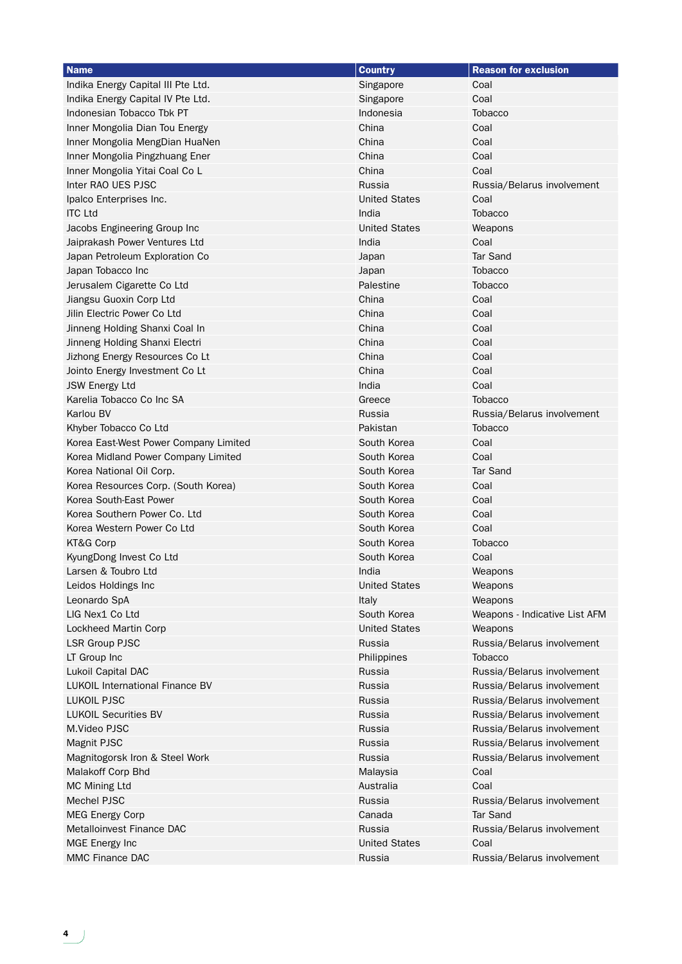| <b>Name</b>                            | <b>Country</b>       | <b>Reason for exclusion</b>   |
|----------------------------------------|----------------------|-------------------------------|
| Indika Energy Capital III Pte Ltd.     | Singapore            | Coal                          |
| Indika Energy Capital IV Pte Ltd.      | Singapore            | Coal                          |
| Indonesian Tobacco Tbk PT              | Indonesia            | Tobacco                       |
| Inner Mongolia Dian Tou Energy         | China                | Coal                          |
| Inner Mongolia MengDian HuaNen         | China                | Coal                          |
| Inner Mongolia Pingzhuang Ener         | China                | Coal                          |
| Inner Mongolia Yitai Coal Co L         | China                | Coal                          |
| Inter RAO UES PJSC                     | Russia               | Russia/Belarus involvement    |
| Ipalco Enterprises Inc.                | <b>United States</b> | Coal                          |
| <b>ITC Ltd</b>                         | India                | <b>Tobacco</b>                |
| Jacobs Engineering Group Inc           | <b>United States</b> | Weapons                       |
| Jaiprakash Power Ventures Ltd          | India                | Coal                          |
| Japan Petroleum Exploration Co         | Japan                | <b>Tar Sand</b>               |
| Japan Tobacco Inc                      | Japan                | <b>Tobacco</b>                |
| Jerusalem Cigarette Co Ltd             | Palestine            | <b>Tobacco</b>                |
| Jiangsu Guoxin Corp Ltd                | China                | Coal                          |
| Jilin Electric Power Co Ltd            | China                | Coal                          |
| Jinneng Holding Shanxi Coal In         | China                | Coal                          |
| Jinneng Holding Shanxi Electri         | China                | Coal                          |
| Jizhong Energy Resources Co Lt         | China                | Coal                          |
| Jointo Energy Investment Co Lt         | China                | Coal                          |
| <b>JSW Energy Ltd</b>                  | India                | Coal                          |
| Karelia Tobacco Co Inc SA              | Greece               | Tobacco                       |
| Karlou BV                              | Russia               | Russia/Belarus involvement    |
| Khyber Tobacco Co Ltd                  | Pakistan             | <b>Tobacco</b>                |
| Korea East-West Power Company Limited  | South Korea          | Coal                          |
| Korea Midland Power Company Limited    | South Korea          | Coal                          |
| Korea National Oil Corp.               | South Korea          | <b>Tar Sand</b>               |
| Korea Resources Corp. (South Korea)    | South Korea          | Coal                          |
| Korea South-East Power                 | South Korea          | Coal                          |
| Korea Southern Power Co. Ltd           | South Korea          | Coal                          |
| Korea Western Power Co Ltd             | South Korea          | Coal                          |
| KT&G Corp                              | South Korea          | <b>Tobacco</b>                |
| KyungDong Invest Co Ltd                | South Korea          | Coal                          |
| Larsen & Toubro Ltd                    | India                | Weapons                       |
| Leidos Holdings Inc                    | <b>United States</b> | Weapons                       |
| Leonardo SpA                           | Italy                | Weapons                       |
| LIG Nex1 Co Ltd                        | South Korea          | Weapons - Indicative List AFM |
| Lockheed Martin Corp                   | <b>United States</b> | Weapons                       |
| <b>LSR Group PJSC</b>                  | Russia               | Russia/Belarus involvement    |
| LT Group Inc                           | Philippines          | <b>Tobacco</b>                |
| Lukoil Capital DAC                     | Russia               | Russia/Belarus involvement    |
| <b>LUKOIL International Finance BV</b> | Russia               | Russia/Belarus involvement    |
| <b>LUKOIL PJSC</b>                     | Russia               | Russia/Belarus involvement    |
| <b>LUKOIL Securities BV</b>            | Russia               | Russia/Belarus involvement    |
| M.Video PJSC                           | Russia               | Russia/Belarus involvement    |
| Magnit PJSC                            | Russia               | Russia/Belarus involvement    |
| Magnitogorsk Iron & Steel Work         | Russia               | Russia/Belarus involvement    |
| Malakoff Corp Bhd                      | Malaysia             | Coal                          |
| MC Mining Ltd                          | Australia            | Coal                          |
| Mechel PJSC                            | Russia               | Russia/Belarus involvement    |
| <b>MEG Energy Corp</b>                 | Canada               | <b>Tar Sand</b>               |
| Metalloinvest Finance DAC              | Russia               | Russia/Belarus involvement    |
| MGE Energy Inc                         | <b>United States</b> | Coal                          |
| MMC Finance DAC                        | Russia               | Russia/Belarus involvement    |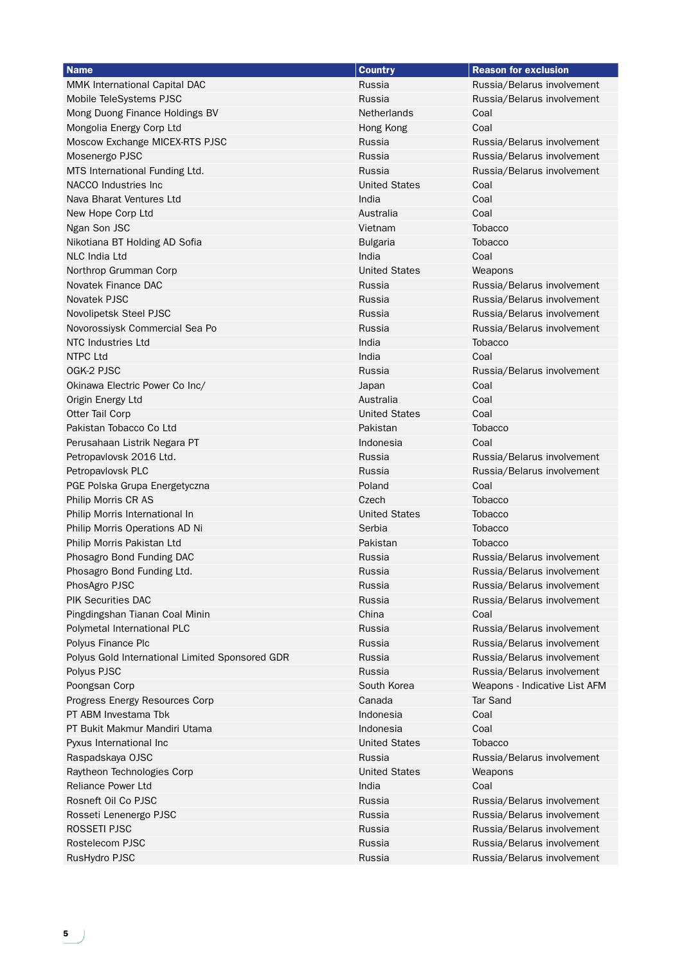| <b>Name</b>                                     | <b>Country</b>       | <b>Reason for exclusion</b>   |
|-------------------------------------------------|----------------------|-------------------------------|
| <b>MMK International Capital DAC</b>            | Russia               | Russia/Belarus involvement    |
| Mobile TeleSystems PJSC                         | Russia               | Russia/Belarus involvement    |
| Mong Duong Finance Holdings BV                  | Netherlands          | Coal                          |
| Mongolia Energy Corp Ltd                        | Hong Kong            | Coal                          |
| Moscow Exchange MICEX-RTS PJSC                  | Russia               | Russia/Belarus involvement    |
| Mosenergo PJSC                                  | Russia               | Russia/Belarus involvement    |
| MTS International Funding Ltd.                  | Russia               | Russia/Belarus involvement    |
| NACCO Industries Inc                            | <b>United States</b> | Coal                          |
| Nava Bharat Ventures Ltd                        | India                | Coal                          |
| New Hope Corp Ltd                               | Australia            | Coal                          |
| Ngan Son JSC                                    | Vietnam              | <b>Tobacco</b>                |
| Nikotiana BT Holding AD Sofia                   | <b>Bulgaria</b>      | <b>Tobacco</b>                |
| <b>NLC India Ltd</b>                            | India                | Coal                          |
| Northrop Grumman Corp                           | <b>United States</b> | Weapons                       |
| Novatek Finance DAC                             | Russia               | Russia/Belarus involvement    |
| Novatek PJSC                                    | Russia               | Russia/Belarus involvement    |
| Novolipetsk Steel PJSC                          | Russia               | Russia/Belarus involvement    |
| Novorossiysk Commercial Sea Po                  | Russia               | Russia/Belarus involvement    |
| NTC Industries Ltd                              | India                | Tobacco                       |
| NTPC Ltd                                        | India                | Coal                          |
| OGK-2 PJSC                                      | Russia               | Russia/Belarus involvement    |
| Okinawa Electric Power Co Inc/                  | Japan                | Coal                          |
| Origin Energy Ltd                               | Australia            | Coal                          |
| Otter Tail Corp                                 | <b>United States</b> | Coal                          |
| Pakistan Tobacco Co Ltd                         | Pakistan             | <b>Tobacco</b>                |
| Perusahaan Listrik Negara PT                    | Indonesia            | Coal                          |
| Petropavlovsk 2016 Ltd.                         | Russia               | Russia/Belarus involvement    |
| Petropavlovsk PLC                               | Russia               | Russia/Belarus involvement    |
| PGE Polska Grupa Energetyczna                   | Poland               | Coal                          |
| Philip Morris CR AS                             | Czech                | <b>Tobacco</b>                |
| Philip Morris International In                  | <b>United States</b> | <b>Tobacco</b>                |
| Philip Morris Operations AD Ni                  | Serbia               | <b>Tobacco</b>                |
| Philip Morris Pakistan Ltd                      | Pakistan             | <b>Tobacco</b>                |
| Phosagro Bond Funding DAC                       | Russia               | Russia/Belarus involvement    |
| Phosagro Bond Funding Ltd.                      | Russia               | Russia/Belarus involvement    |
| PhosAgro PJSC                                   | Russia               | Russia/Belarus involvement    |
| <b>PIK Securities DAC</b>                       | Russia               | Russia/Belarus involvement    |
| Pingdingshan Tianan Coal Minin                  | China                | Coal                          |
| Polymetal International PLC                     | Russia               | Russia/Belarus involvement    |
| Polyus Finance Plc                              | Russia               | Russia/Belarus involvement    |
| Polyus Gold International Limited Sponsored GDR | Russia               | Russia/Belarus involvement    |
| Polyus PJSC                                     | Russia               | Russia/Belarus involvement    |
| Poongsan Corp                                   | South Korea          | Weapons - Indicative List AFM |
| Progress Energy Resources Corp                  | Canada               | <b>Tar Sand</b>               |
| PT ABM Investama Tbk                            | Indonesia            | Coal                          |
| PT Bukit Makmur Mandiri Utama                   | Indonesia            | Coal                          |
| Pyxus International Inc                         | <b>United States</b> | <b>Tobacco</b>                |
| Raspadskaya OJSC                                | Russia               | Russia/Belarus involvement    |
| Raytheon Technologies Corp                      | <b>United States</b> | Weapons                       |
| <b>Reliance Power Ltd</b>                       | India                | Coal                          |
| Rosneft Oil Co PJSC                             | Russia               | Russia/Belarus involvement    |
| Rosseti Lenenergo PJSC                          | Russia               | Russia/Belarus involvement    |
| ROSSETI PJSC                                    | Russia               | Russia/Belarus involvement    |
| Rostelecom PJSC                                 | Russia               | Russia/Belarus involvement    |
| RusHydro PJSC                                   | Russia               | Russia/Belarus involvement    |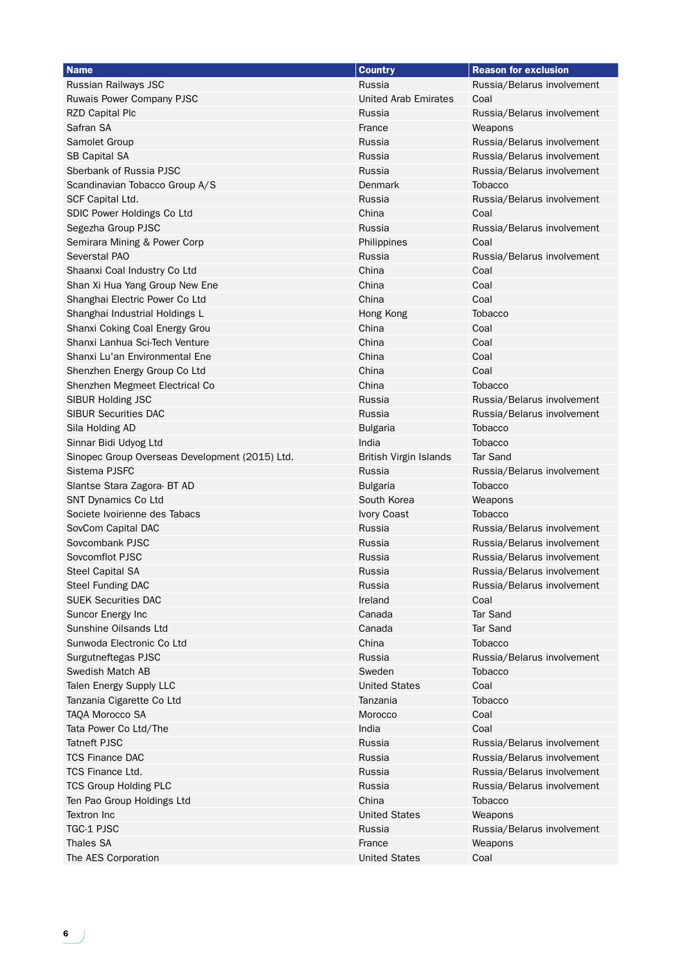| <b>Name</b>                                    | <b>Country</b>                | <b>Reason for exclusion</b> |
|------------------------------------------------|-------------------------------|-----------------------------|
| Russian Railways JSC                           | Russia                        | Russia/Belarus involvement  |
| Ruwais Power Company PJSC                      | <b>United Arab Emirates</b>   | Coal                        |
| <b>RZD Capital Plc</b>                         | Russia                        | Russia/Belarus involvement  |
| Safran SA                                      | France                        | Weapons                     |
| Samolet Group                                  | Russia                        | Russia/Belarus involvement  |
| <b>SB Capital SA</b>                           | Russia                        | Russia/Belarus involvement  |
| Sberbank of Russia PJSC                        | Russia                        | Russia/Belarus involvement  |
| Scandinavian Tobacco Group A/S                 | Denmark                       | <b>Tobacco</b>              |
| SCF Capital Ltd.                               | Russia                        | Russia/Belarus involvement  |
| SDIC Power Holdings Co Ltd                     | China                         | Coal                        |
| Segezha Group PJSC                             | Russia                        | Russia/Belarus involvement  |
| Semirara Mining & Power Corp                   | Philippines                   | Coal                        |
| <b>Severstal PAO</b>                           | Russia                        | Russia/Belarus involvement  |
| Shaanxi Coal Industry Co Ltd                   | China                         | Coal                        |
| Shan Xi Hua Yang Group New Ene                 | China                         | Coal                        |
| Shanghai Electric Power Co Ltd                 | China                         | Coal                        |
| Shanghai Industrial Holdings L                 | Hong Kong                     | <b>Tobacco</b>              |
| Shanxi Coking Coal Energy Grou                 | China                         | Coal                        |
| Shanxi Lanhua Sci-Tech Venture                 | China                         | Coal                        |
| Shanxi Lu'an Environmental Ene                 | China                         | Coal                        |
| Shenzhen Energy Group Co Ltd                   | China                         | Coal                        |
| Shenzhen Megmeet Electrical Co                 | China                         | <b>Tobacco</b>              |
| <b>SIBUR Holding JSC</b>                       | Russia                        | Russia/Belarus involvement  |
| <b>SIBUR Securities DAC</b>                    | Russia                        | Russia/Belarus involvement  |
| Sila Holding AD                                | <b>Bulgaria</b>               | <b>Tobacco</b>              |
| Sinnar Bidi Udyog Ltd                          | India                         | <b>Tobacco</b>              |
| Sinopec Group Overseas Development (2015) Ltd. | <b>British Virgin Islands</b> | <b>Tar Sand</b>             |
| Sistema PJSFC                                  | Russia                        | Russia/Belarus involvement  |
| Slantse Stara Zagora- BT AD                    | <b>Bulgaria</b>               | <b>Tobacco</b>              |
| SNT Dynamics Co Ltd                            | South Korea                   | Weapons                     |
| Societe Ivoirienne des Tabacs                  | Ivory Coast                   | <b>Tobacco</b>              |
| SovCom Capital DAC                             | Russia                        | Russia/Belarus involvement  |
| Sovcombank PJSC                                | Russia                        | Russia/Belarus involvement  |
| Sovcomflot PJSC                                | Russia                        | Russia/Belarus involvement  |
| <b>Steel Capital SA</b>                        | Russia                        | Russia/Belarus involvement  |
| Steel Funding DAC                              | Russia                        | Russia/Belarus involvement  |
| <b>SUEK Securities DAC</b>                     | Ireland                       | Coal                        |
| Suncor Energy Inc                              | Canada                        | <b>Tar Sand</b>             |
| Sunshine Oilsands Ltd                          | Canada                        | <b>Tar Sand</b>             |
| Sunwoda Electronic Co Ltd                      | China                         | <b>Tobacco</b>              |
| Surgutneftegas PJSC                            | Russia                        | Russia/Belarus involvement  |
| Swedish Match AB                               | Sweden                        | <b>Tobacco</b>              |
| Talen Energy Supply LLC                        | <b>United States</b>          | Coal                        |
| Tanzania Cigarette Co Ltd                      | Tanzania                      | <b>Tobacco</b>              |
| TAQA Morocco SA                                | Morocco                       | Coal                        |
| Tata Power Co Ltd/The                          | India                         | Coal                        |
| <b>Tatneft PJSC</b>                            | Russia                        | Russia/Belarus involvement  |
| <b>TCS Finance DAC</b>                         | Russia                        | Russia/Belarus involvement  |
| <b>TCS Finance Ltd.</b>                        | Russia                        | Russia/Belarus involvement  |
| <b>TCS Group Holding PLC</b>                   | Russia                        | Russia/Belarus involvement  |
| Ten Pao Group Holdings Ltd                     | China                         | <b>Tobacco</b>              |
| <b>Textron Inc</b>                             | <b>United States</b>          | Weapons                     |
| <b>TGC-1 PJSC</b>                              | Russia                        | Russia/Belarus involvement  |
| <b>Thales SA</b>                               | France                        | Weapons                     |
| The AES Corporation                            | <b>United States</b>          | Coal                        |